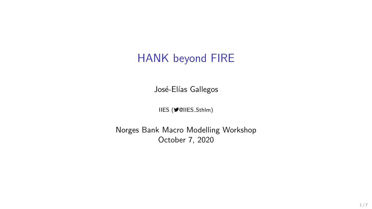## HANK beyond FIRE

José-Elías Gallegos

IIES (♥@IIES Sthlm)

Norges Bank Macro Modelling Workshop October 7, 2020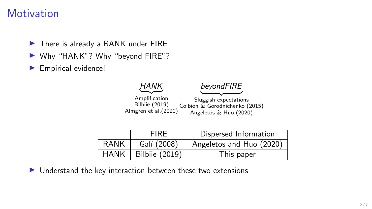### **Motivation**

- $\blacktriangleright$  There is already a RANK under FIRE
- ▶ Why "HANK"? Why "beyond FIRE"?
- Empirical evidence!



 $\blacktriangleright$  Understand the key interaction between these two extensions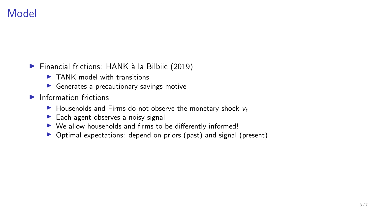## Model

- $\blacktriangleright$  Financial frictions: HANK à la Bilbiie (2019)
	- $\blacktriangleright$  TANK model with transitions
	- $\blacktriangleright$  Generates a precautionary savings motive
- $\blacktriangleright$  Information frictions
	- $\blacktriangleright$  Households and Firms do not observe the monetary shock  $v_t$
	- $\blacktriangleright$  Each agent observes a noisy signal
	- $\triangleright$  We allow households and firms to be differently informed!
	- ▶ Optimal expectations: depend on priors (past) and signal (present)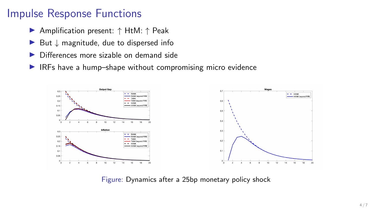# Impulse Response Functions

- ▶ Amplification present: ↑ HtM: ↑ Peak
- $\triangleright$  But  $\downarrow$  magnitude, due to dispersed info
- Differences more sizable on demand side
- $\blacktriangleright$  IRFs have a hump–shape without compromising micro evidence



Figure: Dynamics after a 25bp monetary policy shock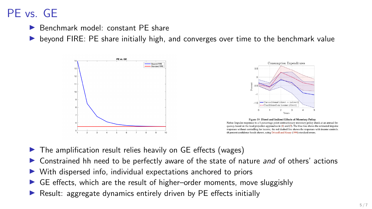# PE vs. GE

◮ Benchmark model: constant PE share

◮ beyond FIRE: PE share initially high, and converges over time to the benchmark value







- $\triangleright$  The amplification result relies heavily on GE effects (wages)
- ▶ Constrained hh need to be perfectly aware of the state of nature *and* of others' actions
- ▶ With dispersed info, individual expectations anchored to priors
- ◮ GE effects, which are the result of higher–order moments, move sluggishly
- ▶ Result: aggregate dynamics entirely driven by PE effects initially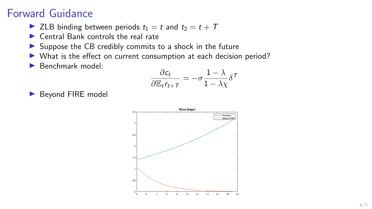## Forward Guidance

- ▶ ZLB binding between periods  $t_1 = t$  and  $t_2 = t + T$
- $\blacktriangleright$  Central Bank controls the real rate
- ▶ Suppose the CB credibly commits to a shock in the future
- ▶ What is the effect on current consumption at each decision period?
- ◮ Benchmark model: <sup>∂</sup>*c<sup>t</sup>*

$$
\frac{\partial c_t}{\partial \mathbb{E}_t r_{t+T}} = -\sigma \frac{1-\lambda}{1-\lambda \chi} \delta^T
$$

▶ Beyond FIRE model